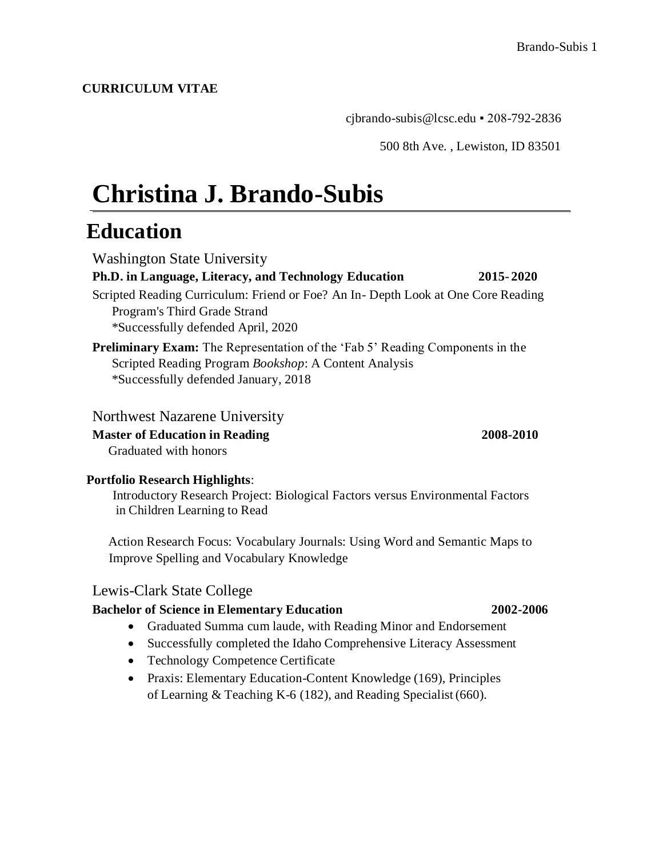### **CURRICULUM VITAE**

[cjbrando-subis@lcsc.edu](mailto:cjbrando-subis@lcsc.edu) ▪ 208-792-2836

500 8th Ave. , Lewiston, ID 83501

# **Christina J. Brando-Subis**

## **Education**

Washington State University **Ph.D. in Language, Literacy, and Technology Education 2015- 2020** Scripted Reading Curriculum: Friend or Foe? An In- Depth Look at One Core Reading Program's Third Grade Strand \*Successfully defended April, 2020 **Preliminary Exam:** The Representation of the 'Fab 5' Reading Components in the Scripted Reading Program *Bookshop*: A Content Analysis \*Successfully defended January, 2018 Northwest Nazarene University **Master of Education in Reading 2008-2010** Graduated with honors **Portfolio Research Highlights**: Introductory Research Project: Biological Factors versus Environmental Factors in Children Learning to Read Action Research Focus: Vocabulary Journals: Using Word and Semantic Maps to Improve Spelling and Vocabulary Knowledge

## Lewis-Clark State College

### **Bachelor of Science in Elementary Education 2002-2006**

- Graduated Summa cum laude, with Reading Minor and Endorsement
- Successfully completed the Idaho Comprehensive Literacy Assessment
- Technology Competence Certificate
- Praxis: Elementary Education-Content Knowledge (169), Principles of Learning & Teaching K-6 (182), and Reading Specialist (660).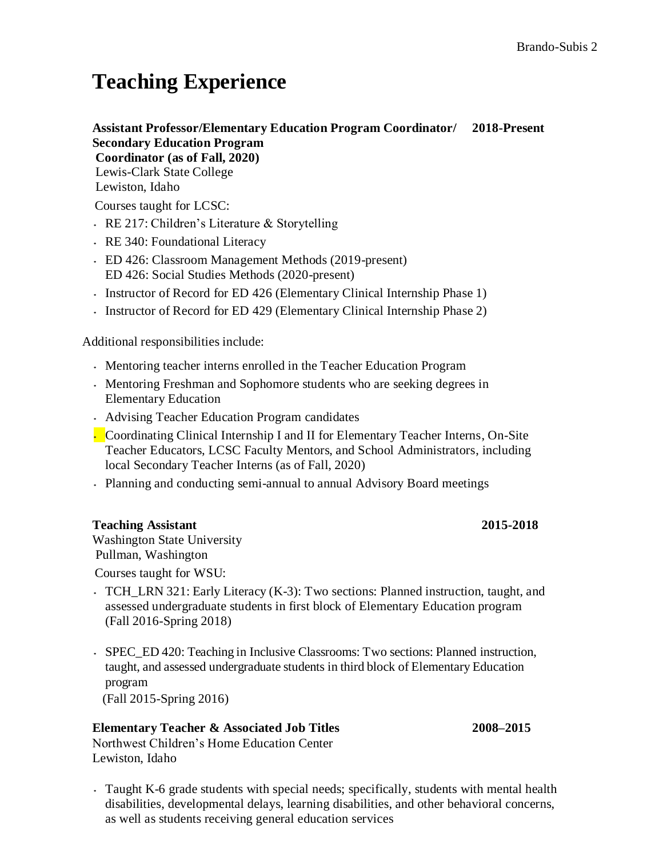## **Teaching Experience**

## **Assistant Professor/Elementary Education Program Coordinator/ 2018-Present Secondary Education Program**

**Coordinator (as of Fall, 2020)** Lewis-Clark State College Lewiston, Idaho

Courses taught for LCSC:

- RE 217: Children's Literature & Storytelling
- RE 340: Foundational Literacy
- ED 426: Classroom Management Methods (2019-present) ED 426: Social Studies Methods (2020-present)
- Instructor of Record for ED 426 (Elementary Clinical Internship Phase 1)
- Instructor of Record for ED 429 (Elementary Clinical Internship Phase 2)

Additional responsibilities include:

- Mentoring teacher interns enrolled in the Teacher Education Program
- Mentoring Freshman and Sophomore students who are seeking degrees in Elementary Education
- Advising Teacher Education Program candidates
- Coordinating Clinical Internship I and II for Elementary Teacher Interns, On-Site Teacher Educators, LCSC Faculty Mentors, and School Administrators, including local Secondary Teacher Interns (as of Fall, 2020)
- Planning and conducting semi-annual to annual Advisory Board meetings

#### **Teaching Assistant 2015-2018**

Washington State University Pullman, Washington

Courses taught for WSU:

- TCH\_LRN 321: Early Literacy (K-3): Two sections: Planned instruction, taught, and assessed undergraduate students in first block of Elementary Education program (Fall 2016-Spring 2018)
- SPEC\_ED 420: Teaching in Inclusive Classrooms: Two sections: Planned instruction, taught, and assessed undergraduate students in third block of Elementary Education program (Fall 2015-Spring 2016)

## **Elementary Teacher & Associated Job Titles 2008–2015**

Northwest Children's Home Education Center Lewiston, Idaho

• Taught K-6 grade students with special needs; specifically, students with mental health disabilities, developmental delays, learning disabilities, and other behavioral concerns, as well as students receiving general education services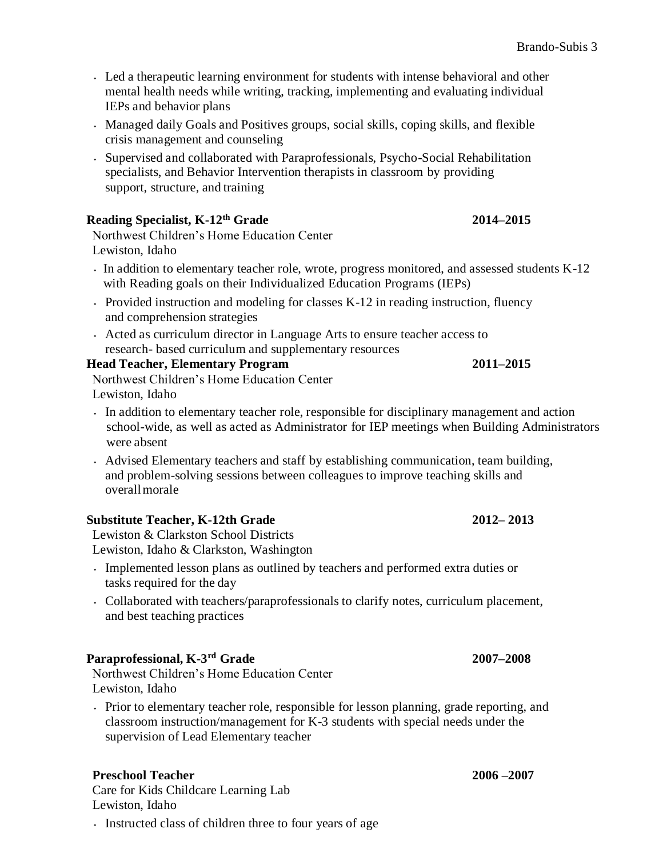- Managed daily Goals and Positives groups, social skills, coping skills, and flexible crisis management and counseling
- Supervised and collaborated with Paraprofessionals, Psycho-Social Rehabilitation specialists, and Behavior Intervention therapists in classroom by providing support, structure, and training

## **Reading Specialist, K-12th Grade 2014–2015**

Northwest Children's Home Education Center Lewiston, Idaho

- In addition to elementary teacher role, wrote, progress monitored, and assessed students K-12 with Reading goals on their Individualized Education Programs (IEPs)
- Provided instruction and modeling for classes K-12 in reading instruction, fluency and comprehension strategies
- Acted as curriculum director in Language Arts to ensure teacher access to research- based curriculum and supplementary resources

#### **Head Teacher, Elementary Program 2011–2015**

Northwest Children's Home Education Center Lewiston, Idaho

- In addition to elementary teacher role, responsible for disciplinary management and action school-wide, as well as acted as Administrator for IEP meetings when Building Administrators were absent
- Advised Elementary teachers and staff by establishing communication, team building, and problem-solving sessions between colleagues to improve teaching skills and overallmorale

### **Substitute Teacher, K-12th Grade 2012– 2013**

Lewiston & Clarkston School Districts Lewiston, Idaho & Clarkston, Washington

- Implemented lesson plans as outlined by teachers and performed extra duties or tasks required for the day
- Collaborated with teachers/paraprofessionals to clarify notes, curriculum placement, and best teaching practices

### **Paraprofessional, K-3**

Northwest Children's Home Education Center Lewiston, Idaho

• Prior to elementary teacher role, responsible for lesson planning, grade reporting, and classroom instruction/management for K-3 students with special needs under the supervision of Lead Elementary teacher

### **Preschool Teacher 2006 –2007**

Care for Kids Childcare Learning Lab Lewiston, Idaho

• Instructed class of children three to four years of age

**rd Grade 2007–2008**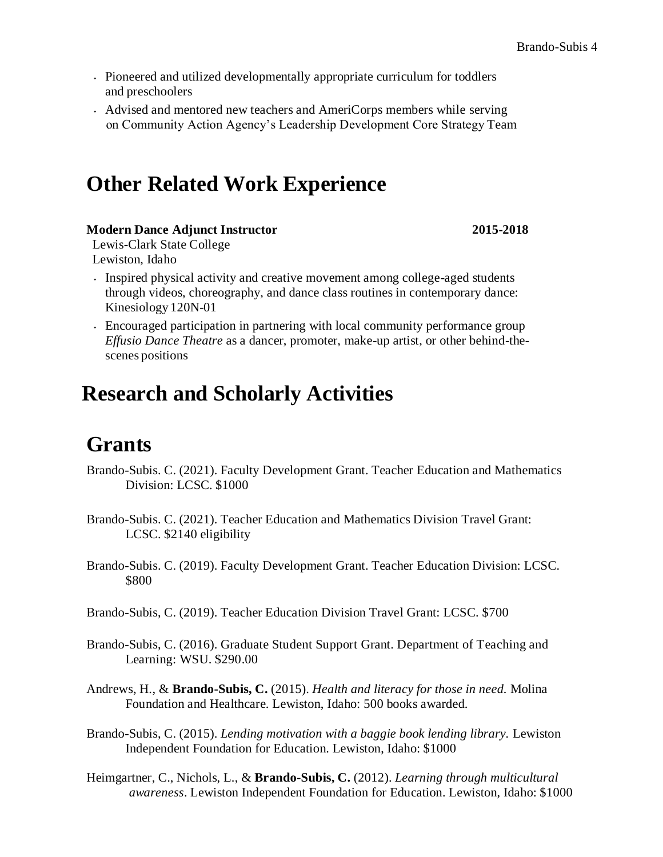- Pioneered and utilized developmentally appropriate curriculum for toddlers and preschoolers
- Advised and mentored new teachers and AmeriCorps members while serving on Community Action Agency's Leadership Development Core Strategy Team

## **Other Related Work Experience**

#### **Modern Dance Adjunct Instructor 2015-2018**

Lewis-Clark State College Lewiston, Idaho

- Inspired physical activity and creative movement among college-aged students through videos, choreography, and dance class routines in contemporary dance: Kinesiology 120N-01
- Encouraged participation in partnering with local community performance group *Effusio Dance Theatre* as a dancer, promoter, make-up artist, or other behind-thescenes positions

## **Research and Scholarly Activities**

## **Grants**

- Brando-Subis. C. (2021). Faculty Development Grant. Teacher Education and Mathematics Division: LCSC. \$1000
- Brando-Subis. C. (2021). Teacher Education and Mathematics Division Travel Grant: LCSC. \$2140 eligibility
- Brando-Subis. C. (2019). Faculty Development Grant. Teacher Education Division: LCSC. \$800
- Brando-Subis, C. (2019). Teacher Education Division Travel Grant: LCSC. \$700
- Brando-Subis, C. (2016). Graduate Student Support Grant. Department of Teaching and Learning: WSU. \$290.00
- Andrews, H., & **Brando-Subis, C.** (2015). *Health and literacy for those in need.* Molina Foundation and Healthcare. Lewiston, Idaho: 500 books awarded.
- Brando-Subis, C. (2015). *Lending motivation with a baggie book lending library.* Lewiston Independent Foundation for Education. Lewiston, Idaho: \$1000
- Heimgartner, C., Nichols, L., & **Brando-Subis, C.** (2012). *Learning through multicultural awareness*. Lewiston Independent Foundation for Education. Lewiston, Idaho: \$1000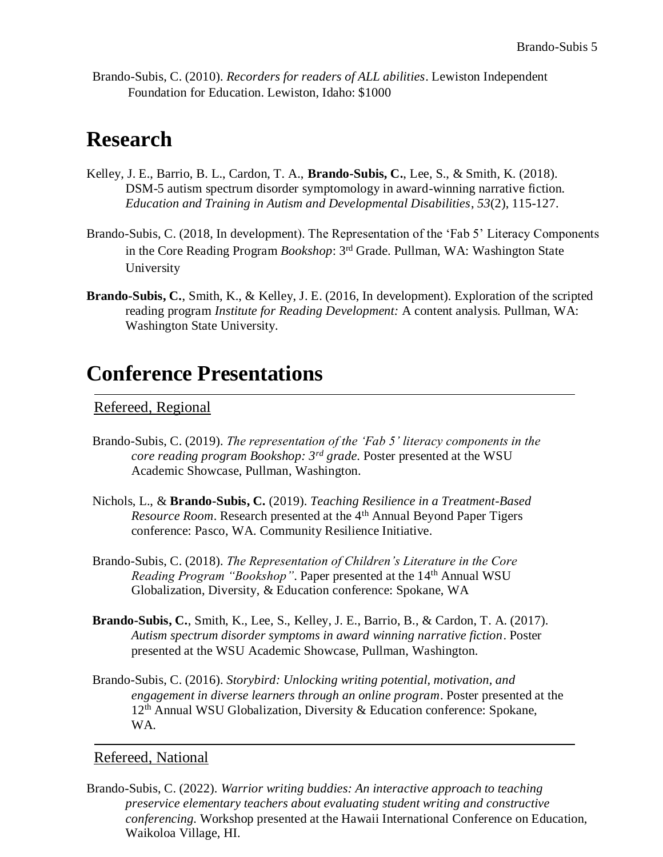Brando-Subis, C. (2010). *Recorders for readers of ALL abilities*. Lewiston Independent Foundation for Education. Lewiston, Idaho: \$1000

## **Research**

- Kelley, J. E., Barrio, B. L., Cardon, T. A., **Brando-Subis, C.**, Lee, S., & Smith, K. (2018). DSM-5 autism spectrum disorder symptomology in award-winning narrative fiction. *Education and Training in Autism and Developmental Disabilities*, *53*(2), 115-127.
- Brando-Subis, C. (2018, In development). The Representation of the 'Fab 5' Literacy Components in the Core Reading Program *Bookshop*: 3rd Grade. Pullman, WA: Washington State University
- **Brando-Subis, C.**, Smith, K., & Kelley, J. E. (2016, In development). Exploration of the scripted reading program *Institute for Reading Development:* A content analysis. Pullman, WA: Washington State University.

## **Conference Presentations**

### Refereed, Regional

- Brando-Subis, C. (2019). *The representation of the 'Fab 5' literacy components in the core reading program Bookshop: 3rd grade.* Poster presented at the WSU Academic Showcase, Pullman, Washington.
- Nichols, L., & **Brando-Subis, C.** (2019). *Teaching Resilience in a Treatment-Based Resource Room*. Research presented at the 4th Annual Beyond Paper Tigers conference: Pasco, WA. Community Resilience Initiative.
- Brando-Subis, C. (2018). *The Representation of Children's Literature in the Core*  Reading Program "Bookshop". Paper presented at the 14<sup>th</sup> Annual WSU Globalization, Diversity, & Education conference: Spokane, WA
- **Brando-Subis, C.**, Smith, K., Lee, S., Kelley, J. E., Barrio, B., & Cardon, T. A. (2017). *Autism spectrum disorder symptoms in award winning narrative fiction*. Poster presented at the WSU Academic Showcase, Pullman, Washington.
- Brando-Subis, C. (2016). *Storybird: Unlocking writing potential, motivation, and engagement in diverse learners through an online program*. Poster presented at the 12th Annual WSU Globalization, Diversity & Education conference: Spokane, WA.

### Refereed, National

Brando-Subis, C. (2022). *Warrior writing buddies: An interactive approach to teaching preservice elementary teachers about evaluating student writing and constructive conferencing.* Workshop presented at the Hawaii International Conference on Education, Waikoloa Village, HI.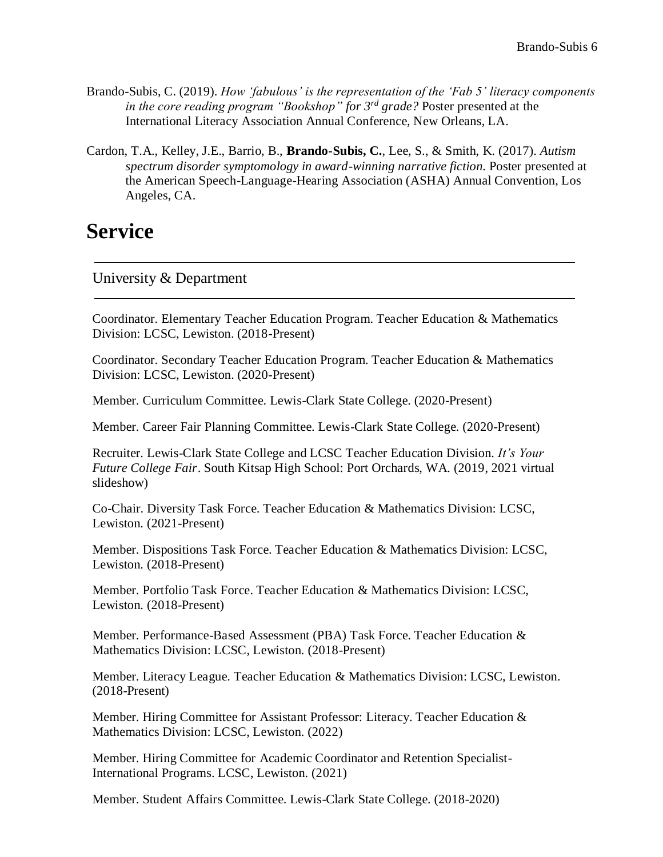- Brando-Subis, C. (2019). *How 'fabulous' is the representation of the 'Fab 5' literacy components in the core reading program "Bookshop" for 3rd grade?* Poster presented at the International Literacy Association Annual Conference, New Orleans, LA.
- Cardon, T.A., Kelley, J.E., Barrio, B., **Brando-Subis, C.**, Lee, S., & Smith, K. (2017). *Autism spectrum disorder symptomology in award-winning narrative fiction.* Poster presented at the American Speech-Language-Hearing Association (ASHA) Annual Convention, Los Angeles, CA.

## **Service**

#### University & Department

Coordinator. Elementary Teacher Education Program. Teacher Education & Mathematics Division: LCSC, Lewiston. (2018-Present)

Coordinator. Secondary Teacher Education Program. Teacher Education & Mathematics Division: LCSC, Lewiston. (2020-Present)

Member. Curriculum Committee. Lewis-Clark State College. (2020-Present)

Member. Career Fair Planning Committee. Lewis-Clark State College. (2020-Present)

Recruiter. Lewis-Clark State College and LCSC Teacher Education Division. *It's Your Future College Fair*. South Kitsap High School: Port Orchards, WA. (2019, 2021 virtual slideshow)

Co-Chair. Diversity Task Force. Teacher Education & Mathematics Division: LCSC, Lewiston. (2021-Present)

Member. Dispositions Task Force. Teacher Education & Mathematics Division: LCSC, Lewiston. (2018-Present)

Member. Portfolio Task Force. Teacher Education & Mathematics Division: LCSC, Lewiston. (2018-Present)

Member. Performance-Based Assessment (PBA) Task Force. Teacher Education & Mathematics Division: LCSC, Lewiston. (2018-Present)

Member. Literacy League. Teacher Education & Mathematics Division: LCSC, Lewiston. (2018-Present)

Member. Hiring Committee for Assistant Professor: Literacy. Teacher Education & Mathematics Division: LCSC, Lewiston. (2022)

Member. Hiring Committee for Academic Coordinator and Retention Specialist-International Programs. LCSC, Lewiston. (2021)

Member. Student Affairs Committee. Lewis-Clark State College. (2018-2020)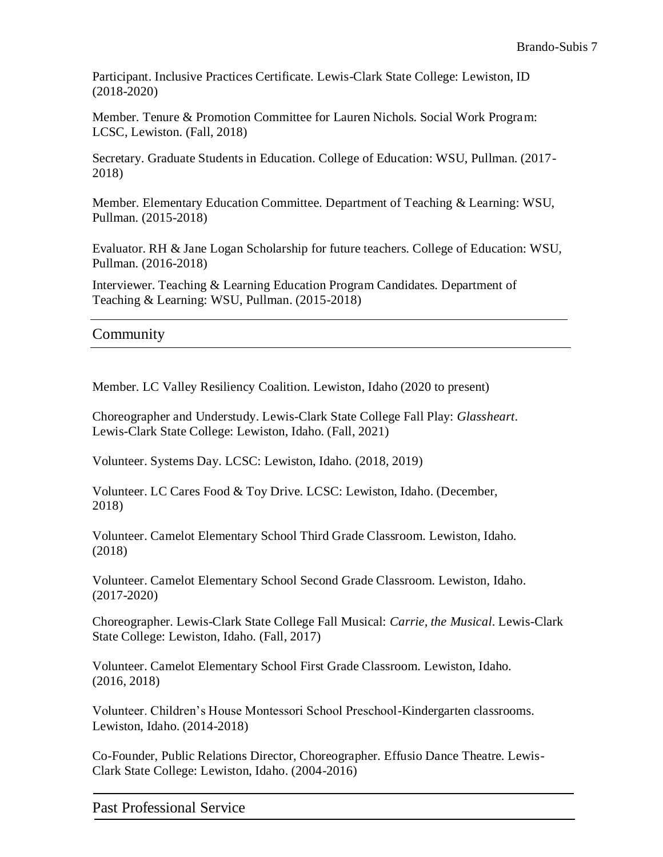Participant. Inclusive Practices Certificate. Lewis-Clark State College: Lewiston, ID (2018-2020)

Member. Tenure & Promotion Committee for Lauren Nichols. Social Work Program: LCSC, Lewiston. (Fall, 2018)

Secretary. Graduate Students in Education. College of Education: WSU, Pullman. (2017- 2018)

Member. Elementary Education Committee. Department of Teaching & Learning: WSU, Pullman. (2015-2018)

Evaluator. RH & Jane Logan Scholarship for future teachers. College of Education: WSU, Pullman. (2016-2018)

Interviewer. Teaching & Learning Education Program Candidates. Department of Teaching & Learning: WSU, Pullman. (2015-2018)

## Community

Member. LC Valley Resiliency Coalition. Lewiston, Idaho (2020 to present)

Choreographer and Understudy. Lewis-Clark State College Fall Play: *Glassheart*. Lewis-Clark State College: Lewiston, Idaho. (Fall, 2021)

Volunteer. Systems Day. LCSC: Lewiston, Idaho. (2018, 2019)

Volunteer. LC Cares Food & Toy Drive. LCSC: Lewiston, Idaho. (December, 2018)

Volunteer. Camelot Elementary School Third Grade Classroom. Lewiston, Idaho. (2018)

Volunteer. Camelot Elementary School Second Grade Classroom. Lewiston, Idaho. (2017-2020)

Choreographer. Lewis-Clark State College Fall Musical: *Carrie, the Musical*. Lewis-Clark State College: Lewiston, Idaho. (Fall, 2017)

Volunteer. Camelot Elementary School First Grade Classroom. Lewiston, Idaho. (2016, 2018)

Volunteer. Children's House Montessori School Preschool-Kindergarten classrooms. Lewiston, Idaho. (2014-2018)

Co-Founder, Public Relations Director, Choreographer. Effusio Dance Theatre. Lewis-Clark State College: Lewiston, Idaho. (2004-2016)

### Past Professional Service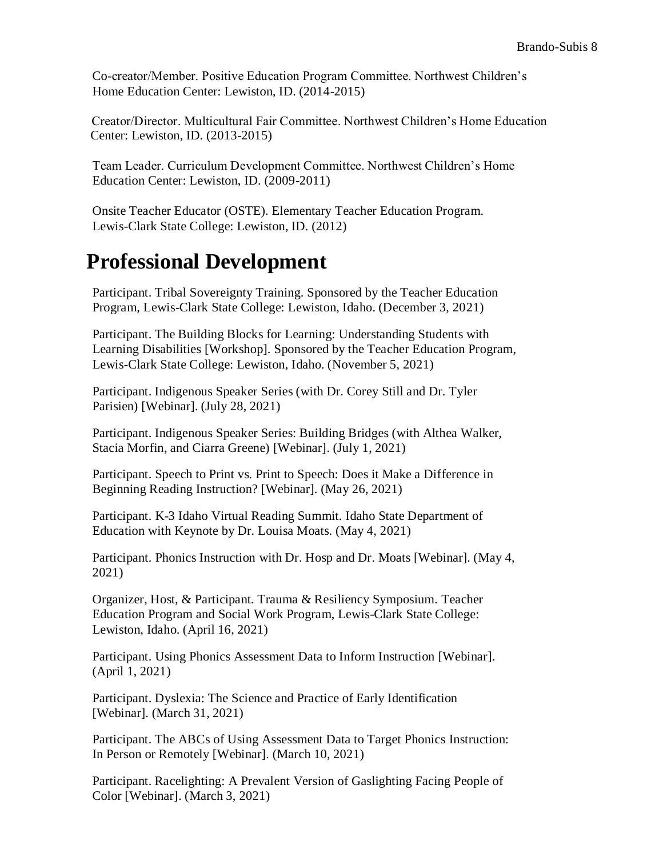Co-creator/Member. Positive Education Program Committee. Northwest Children's Home Education Center: Lewiston, ID. (2014-2015)

 Creator/Director. Multicultural Fair Committee. Northwest Children's Home Education Center: Lewiston, ID. (2013-2015)

Team Leader. Curriculum Development Committee. Northwest Children's Home Education Center: Lewiston, ID. (2009-2011)

Onsite Teacher Educator (OSTE). Elementary Teacher Education Program. Lewis-Clark State College: Lewiston, ID. (2012)

## **Professional Development**

Participant. Tribal Sovereignty Training. Sponsored by the Teacher Education Program, Lewis-Clark State College: Lewiston, Idaho. (December 3, 2021)

Participant. The Building Blocks for Learning: Understanding Students with Learning Disabilities [Workshop]. Sponsored by the Teacher Education Program, Lewis-Clark State College: Lewiston, Idaho. (November 5, 2021)

Participant. Indigenous Speaker Series (with Dr. Corey Still and Dr. Tyler Parisien) [Webinar]. (July 28, 2021)

Participant. Indigenous Speaker Series: Building Bridges (with Althea Walker, Stacia Morfin, and Ciarra Greene) [Webinar]. (July 1, 2021)

Participant. Speech to Print vs. Print to Speech: Does it Make a Difference in Beginning Reading Instruction? [Webinar]. (May 26, 2021)

Participant. K-3 Idaho Virtual Reading Summit. Idaho State Department of Education with Keynote by Dr. Louisa Moats. (May 4, 2021)

Participant. Phonics Instruction with Dr. Hosp and Dr. Moats [Webinar]. (May 4, 2021)

Organizer, Host, & Participant. Trauma & Resiliency Symposium. Teacher Education Program and Social Work Program, Lewis-Clark State College: Lewiston, Idaho. (April 16, 2021)

Participant. Using Phonics Assessment Data to Inform Instruction [Webinar]. (April 1, 2021)

Participant. Dyslexia: The Science and Practice of Early Identification [Webinar]. (March 31, 2021)

Participant. The ABCs of Using Assessment Data to Target Phonics Instruction: In Person or Remotely [Webinar]. (March 10, 2021)

Participant. Racelighting: A Prevalent Version of Gaslighting Facing People of Color [Webinar]. (March 3, 2021)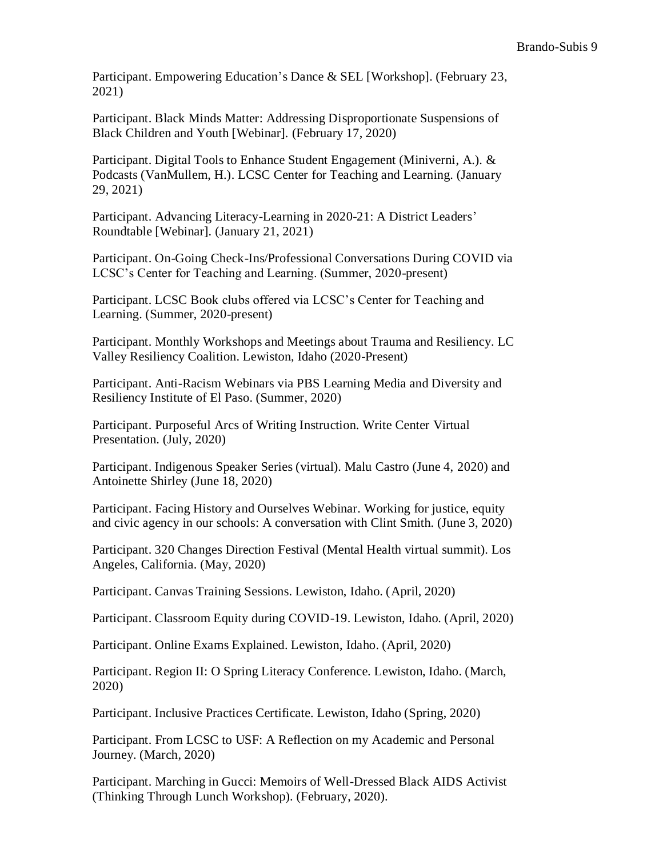Participant. Empowering Education's Dance & SEL [Workshop]. (February 23, 2021)

Participant. Black Minds Matter: Addressing Disproportionate Suspensions of Black Children and Youth [Webinar]. (February 17, 2020)

Participant. Digital Tools to Enhance Student Engagement (Miniverni, A.). & Podcasts (VanMullem, H.). LCSC Center for Teaching and Learning. (January 29, 2021)

Participant. Advancing Literacy-Learning in 2020-21: A District Leaders' Roundtable [Webinar]. (January 21, 2021)

Participant. On-Going Check-Ins/Professional Conversations During COVID via LCSC's Center for Teaching and Learning. (Summer, 2020-present)

Participant. LCSC Book clubs offered via LCSC's Center for Teaching and Learning. (Summer, 2020-present)

Participant. Monthly Workshops and Meetings about Trauma and Resiliency. LC Valley Resiliency Coalition. Lewiston, Idaho (2020-Present)

Participant. Anti-Racism Webinars via PBS Learning Media and Diversity and Resiliency Institute of El Paso. (Summer, 2020)

Participant. Purposeful Arcs of Writing Instruction. Write Center Virtual Presentation. (July, 2020)

Participant. Indigenous Speaker Series (virtual). Malu Castro (June 4, 2020) and Antoinette Shirley (June 18, 2020)

Participant. Facing History and Ourselves Webinar. Working for justice, equity and civic agency in our schools: A conversation with Clint Smith. (June 3, 2020)

Participant. 320 Changes Direction Festival (Mental Health virtual summit). Los Angeles, California. (May, 2020)

Participant. Canvas Training Sessions. Lewiston, Idaho. (April, 2020)

Participant. Classroom Equity during COVID-19. Lewiston, Idaho. (April, 2020)

Participant. Online Exams Explained. Lewiston, Idaho. (April, 2020)

Participant. Region II: O Spring Literacy Conference. Lewiston, Idaho. (March, 2020)

Participant. Inclusive Practices Certificate. Lewiston, Idaho (Spring, 2020)

Participant. From LCSC to USF: A Reflection on my Academic and Personal Journey. (March, 2020)

Participant. Marching in Gucci: Memoirs of Well-Dressed Black AIDS Activist (Thinking Through Lunch Workshop). (February, 2020).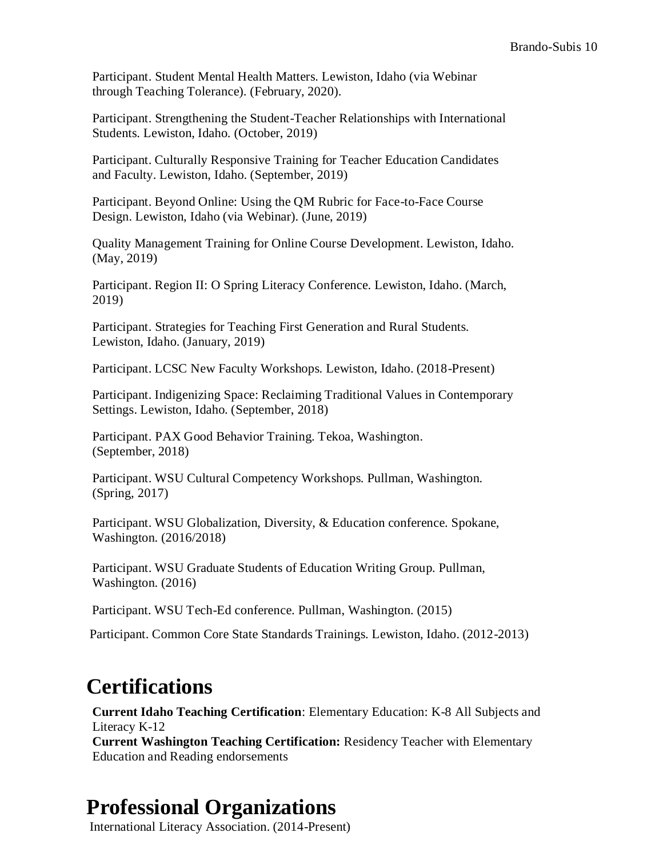Participant. Student Mental Health Matters. Lewiston, Idaho (via Webinar through Teaching Tolerance). (February, 2020).

Participant. Strengthening the Student-Teacher Relationships with International Students. Lewiston, Idaho. (October, 2019)

Participant. Culturally Responsive Training for Teacher Education Candidates and Faculty. Lewiston, Idaho. (September, 2019)

Participant. Beyond Online: Using the QM Rubric for Face-to-Face Course Design. Lewiston, Idaho (via Webinar). (June, 2019)

Quality Management Training for Online Course Development. Lewiston, Idaho. (May, 2019)

Participant. Region II: O Spring Literacy Conference. Lewiston, Idaho. (March, 2019)

Participant. Strategies for Teaching First Generation and Rural Students. Lewiston, Idaho. (January, 2019)

Participant. LCSC New Faculty Workshops. Lewiston, Idaho. (2018-Present)

Participant. Indigenizing Space: Reclaiming Traditional Values in Contemporary Settings. Lewiston, Idaho. (September, 2018)

Participant. PAX Good Behavior Training. Tekoa, Washington. (September, 2018)

Participant. WSU Cultural Competency Workshops. Pullman, Washington. (Spring, 2017)

Participant. WSU Globalization, Diversity, & Education conference. Spokane, Washington. (2016/2018)

Participant. WSU Graduate Students of Education Writing Group. Pullman, Washington. (2016)

Participant. WSU Tech-Ed conference. Pullman, Washington. (2015)

Participant. Common Core State Standards Trainings. Lewiston, Idaho. (2012-2013)

## **Certifications**

**Current Idaho Teaching Certification**: Elementary Education: K-8 All Subjects and Literacy K-12

**Current Washington Teaching Certification:** Residency Teacher with Elementary Education and Reading endorsements

## **Professional Organizations**

International Literacy Association. (2014-Present)